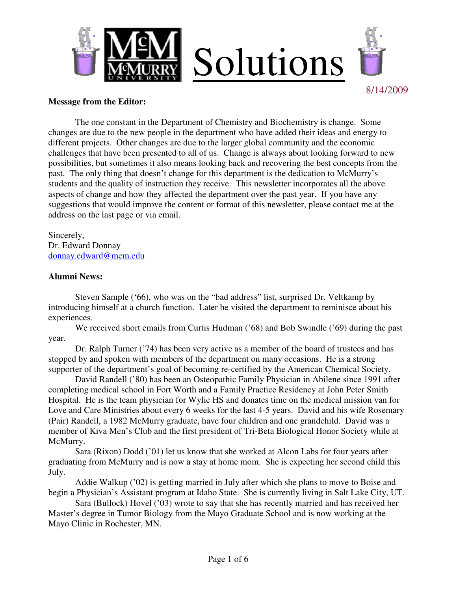

#### **Message from the Editor:**

 The one constant in the Department of Chemistry and Biochemistry is change. Some changes are due to the new people in the department who have added their ideas and energy to different projects. Other changes are due to the larger global community and the economic challenges that have been presented to all of us. Change is always about looking forward to new possibilities, but sometimes it also means looking back and recovering the best concepts from the past. The only thing that doesn't change for this department is the dedication to McMurry's students and the quality of instruction they receive. This newsletter incorporates all the above aspects of change and how they affected the department over the past year. If you have any suggestions that would improve the content or format of this newsletter, please contact me at the address on the last page or via email.

Sincerely, Dr. Edward Donnay donnay.edward@mcm.edu

### **Alumni News:**

 Steven Sample ('66), who was on the "bad address" list, surprised Dr. Veltkamp by introducing himself at a church function. Later he visited the department to reminisce about his experiences.

We received short emails from Curtis Hudman ('68) and Bob Swindle ('69) during the past year.

 Dr. Ralph Turner ('74) has been very active as a member of the board of trustees and has stopped by and spoken with members of the department on many occasions. He is a strong supporter of the department's goal of becoming re-certified by the American Chemical Society.

 David Randell ('80) has been an Osteopathic Family Physician in Abilene since 1991 after completing medical school in Fort Worth and a Family Practice Residency at John Peter Smith Hospital. He is the team physician for Wylie HS and donates time on the medical mission van for Love and Care Ministries about every 6 weeks for the last 4-5 years. David and his wife Rosemary (Pair) Randell, a 1982 McMurry graduate, have four children and one grandchild. David was a member of Kiva Men's Club and the first president of Tri-Beta Biological Honor Society while at McMurry.

 Sara (Rixon) Dodd ('01) let us know that she worked at Alcon Labs for four years after graduating from McMurry and is now a stay at home mom. She is expecting her second child this July.

 Addie Walkup ('02) is getting married in July after which she plans to move to Boise and begin a Physician's Assistant program at Idaho State. She is currently living in Salt Lake City, UT.

 Sara (Bullock) Hovel ('03) wrote to say that she has recently married and has received her Master's degree in Tumor Biology from the Mayo Graduate School and is now working at the Mayo Clinic in Rochester, MN.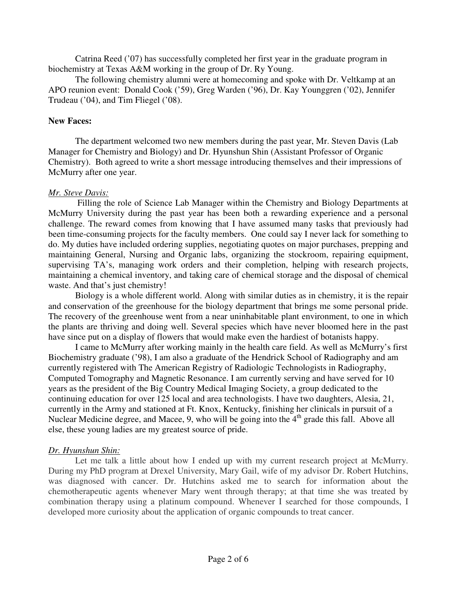Catrina Reed ('07) has successfully completed her first year in the graduate program in biochemistry at Texas A&M working in the group of Dr. Ry Young.

 The following chemistry alumni were at homecoming and spoke with Dr. Veltkamp at an APO reunion event: Donald Cook ('59), Greg Warden ('96), Dr. Kay Younggren ('02), Jennifer Trudeau ('04), and Tim Fliegel ('08).

## **New Faces:**

 The department welcomed two new members during the past year, Mr. Steven Davis (Lab Manager for Chemistry and Biology) and Dr. Hyunshun Shin (Assistant Professor of Organic Chemistry). Both agreed to write a short message introducing themselves and their impressions of McMurry after one year.

### *Mr. Steve Davis:*

 Filling the role of Science Lab Manager within the Chemistry and Biology Departments at McMurry University during the past year has been both a rewarding experience and a personal challenge. The reward comes from knowing that I have assumed many tasks that previously had been time-consuming projects for the faculty members. One could say I never lack for something to do. My duties have included ordering supplies, negotiating quotes on major purchases, prepping and maintaining General, Nursing and Organic labs, organizing the stockroom, repairing equipment, supervising TA's, managing work orders and their completion, helping with research projects, maintaining a chemical inventory, and taking care of chemical storage and the disposal of chemical waste. And that's just chemistry!

Biology is a whole different world. Along with similar duties as in chemistry, it is the repair and conservation of the greenhouse for the biology department that brings me some personal pride. The recovery of the greenhouse went from a near uninhabitable plant environment, to one in which the plants are thriving and doing well. Several species which have never bloomed here in the past have since put on a display of flowers that would make even the hardiest of botanists happy.

I came to McMurry after working mainly in the health care field. As well as McMurry's first Biochemistry graduate ('98), I am also a graduate of the Hendrick School of Radiography and am currently registered with The American Registry of Radiologic Technologists in Radiography, Computed Tomography and Magnetic Resonance. I am currently serving and have served for 10 years as the president of the Big Country Medical Imaging Society, a group dedicated to the continuing education for over 125 local and area technologists. I have two daughters, Alesia, 21, currently in the Army and stationed at Ft. Knox, Kentucky, finishing her clinicals in pursuit of a Nuclear Medicine degree, and Macee, 9, who will be going into the 4<sup>th</sup> grade this fall. Above all else, these young ladies are my greatest source of pride.

## *Dr. Hyunshun Shin:*

Let me talk a little about how I ended up with my current research project at McMurry. During my PhD program at Drexel University, Mary Gail, wife of my advisor Dr. Robert Hutchins, was diagnosed with cancer. Dr. Hutchins asked me to search for information about the chemotherapeutic agents whenever Mary went through therapy; at that time she was treated by combination therapy using a platinum compound. Whenever I searched for those compounds, I developed more curiosity about the application of organic compounds to treat cancer.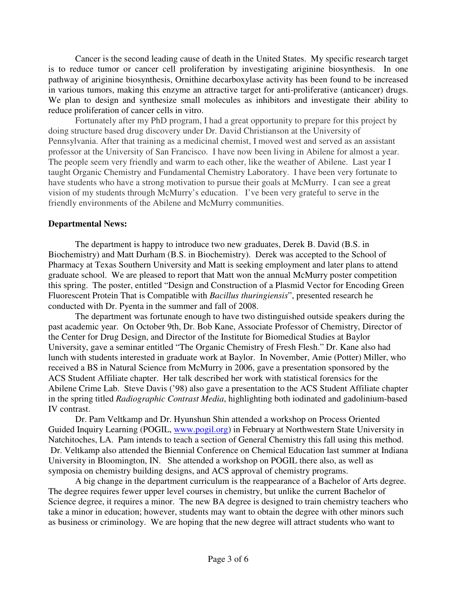Cancer is the second leading cause of death in the United States. My specific research target is to reduce tumor or cancer cell proliferation by investigating ariginine biosynthesis. In one pathway of ariginine biosynthesis, Ornithine decarboxylase activity has been found to be increased in various tumors, making this enzyme an attractive target for anti-proliferative (anticancer) drugs. We plan to design and synthesize small molecules as inhibitors and investigate their ability to reduce proliferation of cancer cells in vitro.

Fortunately after my PhD program, I had a great opportunity to prepare for this project by doing structure based drug discovery under Dr. David Christianson at the University of Pennsylvania. After that training as a medicinal chemist, I moved west and served as an assistant professor at the University of San Francisco. I have now been living in Abilene for almost a year. The people seem very friendly and warm to each other, like the weather of Abilene. Last year I taught Organic Chemistry and Fundamental Chemistry Laboratory. I have been very fortunate to have students who have a strong motivation to pursue their goals at McMurry. I can see a great vision of my students through McMurry's education. I've been very grateful to serve in the friendly environments of the Abilene and McMurry communities.

### **Departmental News:**

 The department is happy to introduce two new graduates, Derek B. David (B.S. in Biochemistry) and Matt Durham (B.S. in Biochemistry). Derek was accepted to the School of Pharmacy at Texas Southern University and Matt is seeking employment and later plans to attend graduate school. We are pleased to report that Matt won the annual McMurry poster competition this spring. The poster, entitled "Design and Construction of a Plasmid Vector for Encoding Green Fluorescent Protein That is Compatible with *Bacillus thuringiensis*", presented research he conducted with Dr. Pyenta in the summer and fall of 2008.

 The department was fortunate enough to have two distinguished outside speakers during the past academic year. On October 9th, Dr. Bob Kane, Associate Professor of Chemistry, Director of the Center for Drug Design, and Director of the Institute for Biomedical Studies at Baylor University, gave a seminar entitled "The Organic Chemistry of Fresh Flesh." Dr. Kane also had lunch with students interested in graduate work at Baylor. In November, Amie (Potter) Miller, who received a BS in Natural Science from McMurry in 2006, gave a presentation sponsored by the ACS Student Affiliate chapter. Her talk described her work with statistical forensics for the Abilene Crime Lab. Steve Davis ('98) also gave a presentation to the ACS Student Affiliate chapter in the spring titled *Radiographic Contrast Media*, highlighting both iodinated and gadolinium-based IV contrast.

 Dr. Pam Veltkamp and Dr. Hyunshun Shin attended a workshop on Process Oriented Guided Inquiry Learning (POGIL, www.pogil.org) in February at Northwestern State University in Natchitoches, LA. Pam intends to teach a section of General Chemistry this fall using this method. Dr. Veltkamp also attended the Biennial Conference on Chemical Education last summer at Indiana University in Bloomington, IN. She attended a workshop on POGIL there also, as well as symposia on chemistry building designs, and ACS approval of chemistry programs.

 A big change in the department curriculum is the reappearance of a Bachelor of Arts degree. The degree requires fewer upper level courses in chemistry, but unlike the current Bachelor of Science degree, it requires a minor. The new BA degree is designed to train chemistry teachers who take a minor in education; however, students may want to obtain the degree with other minors such as business or criminology. We are hoping that the new degree will attract students who want to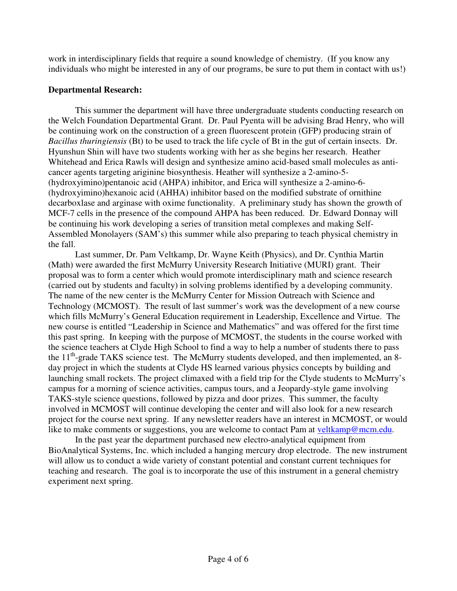work in interdisciplinary fields that require a sound knowledge of chemistry. (If you know any individuals who might be interested in any of our programs, be sure to put them in contact with us!)

# **Departmental Research:**

This summer the department will have three undergraduate students conducting research on the Welch Foundation Departmental Grant. Dr. Paul Pyenta will be advising Brad Henry, who will be continuing work on the construction of a green fluorescent protein (GFP) producing strain of *Bacillus thuringiensis* (Bt) to be used to track the life cycle of Bt in the gut of certain insects. Dr. Hyunshun Shin will have two students working with her as she begins her research. Heather Whitehead and Erica Rawls will design and synthesize amino acid-based small molecules as anticancer agents targeting ariginine biosynthesis. Heather will synthesize a 2-amino-5- (hydroxyimino)pentanoic acid (AHPA) inhibitor, and Erica will synthesize a 2-amino-6- (hydroxyimino)hexanoic acid (AHHA) inhibitor based on the modified substrate of ornithine decarboxlase and arginase with oxime functionality. A preliminary study has shown the growth of MCF-7 cells in the presence of the compound AHPA has been reduced. Dr. Edward Donnay will be continuing his work developing a series of transition metal complexes and making Self-Assembled Monolayers (SAM's) this summer while also preparing to teach physical chemistry in the fall.

Last summer, Dr. Pam Veltkamp, Dr. Wayne Keith (Physics), and Dr. Cynthia Martin (Math) were awarded the first McMurry University Research Initiative (MURI) grant. Their proposal was to form a center which would promote interdisciplinary math and science research (carried out by students and faculty) in solving problems identified by a developing community. The name of the new center is the McMurry Center for Mission Outreach with Science and Technology (MCMOST). The result of last summer's work was the development of a new course which fills McMurry's General Education requirement in Leadership, Excellence and Virtue. The new course is entitled "Leadership in Science and Mathematics" and was offered for the first time this past spring. In keeping with the purpose of MCMOST, the students in the course worked with the science teachers at Clyde High School to find a way to help a number of students there to pass the  $11<sup>th</sup>$ -grade TAKS science test. The McMurry students developed, and then implemented, an 8day project in which the students at Clyde HS learned various physics concepts by building and launching small rockets. The project climaxed with a field trip for the Clyde students to McMurry's campus for a morning of science activities, campus tours, and a Jeopardy-style game involving TAKS-style science questions, followed by pizza and door prizes. This summer, the faculty involved in MCMOST will continue developing the center and will also look for a new research project for the course next spring. If any newsletter readers have an interest in MCMOST, or would like to make comments or suggestions, you are welcome to contact Pam at veltkamp@mcm.edu.

In the past year the department purchased new electro-analytical equipment from BioAnalytical Systems, Inc. which included a hanging mercury drop electrode. The new instrument will allow us to conduct a wide variety of constant potential and constant current techniques for teaching and research. The goal is to incorporate the use of this instrument in a general chemistry experiment next spring.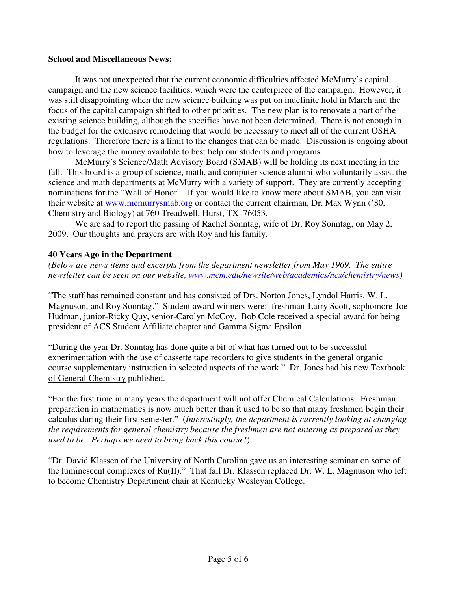## **School and Miscellaneous News:**

 It was not unexpected that the current economic difficulties affected McMurry's capital campaign and the new science facilities, which were the centerpiece of the campaign. However, it was still disappointing when the new science building was put on indefinite hold in March and the focus of the capital campaign shifted to other priorities. The new plan is to renovate a part of the existing science building, although the specifics have not been determined. There is not enough in the budget for the extensive remodeling that would be necessary to meet all of the current OSHA regulations. Therefore there is a limit to the changes that can be made. Discussion is ongoing about how to leverage the money available to best help our students and programs.

McMurry's Science/Math Advisory Board (SMAB) will be holding its next meeting in the fall. This board is a group of science, math, and computer science alumni who voluntarily assist the science and math departments at McMurry with a variety of support. They are currently accepting nominations for the "Wall of Honor". If you would like to know more about SMAB, you can visit their website at www.mcmurrysmab.org or contact the current chairman, Dr. Max Wynn ('80, Chemistry and Biology) at 760 Treadwell, Hurst, TX 76053.

We are sad to report the passing of Rachel Sonntag, wife of Dr. Roy Sonntag, on May 2, 2009. Our thoughts and prayers are with Roy and his family.

## **40 Years Ago in the Department**

*(Below are news items and excerpts from the department newsletter from May 1969. The entire newsletter can be seen on our website, www.mcm.edu/newsite/web/academics/ncs/chemistry/news)* 

"The staff has remained constant and has consisted of Drs. Norton Jones, Lyndol Harris, W. L. Magnuson, and Roy Sonntag." Student award winners were: freshman-Larry Scott, sophomore-Joe Hudman, junior-Ricky Quy, senior-Carolyn McCoy. Bob Cole received a special award for being president of ACS Student Affiliate chapter and Gamma Sigma Epsilon.

"During the year Dr. Sonntag has done quite a bit of what has turned out to be successful experimentation with the use of cassette tape recorders to give students in the general organic course supplementary instruction in selected aspects of the work." Dr. Jones had his new Textbook of General Chemistry published.

"For the first time in many years the department will not offer Chemical Calculations. Freshman preparation in mathematics is now much better than it used to be so that many freshmen begin their calculus during their first semester." (*Interestingly, the department is currently looking at changing the requirements for general chemistry because the freshmen are not entering as prepared as they used to be. Perhaps we need to bring back this course!*)

"Dr. David Klassen of the University of North Carolina gave us an interesting seminar on some of the luminescent complexes of Ru(II)." That fall Dr. Klassen replaced Dr. W. L. Magnuson who left to become Chemistry Department chair at Kentucky Wesleyan College.